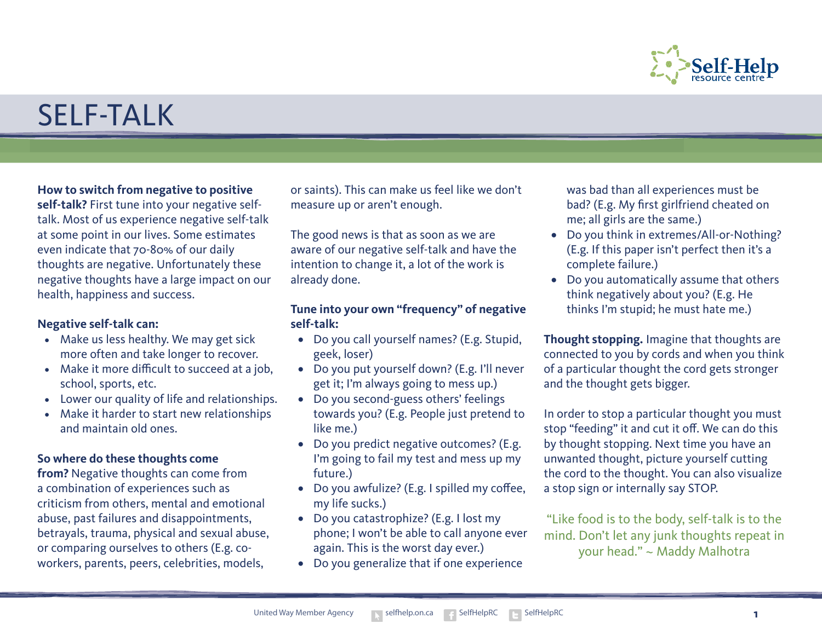

# SELF-TALK

#### **How to switch from negative to positive**

**self-talk?** First tune into your negative selftalk. Most of us experience negative self-talk at some point in our lives. Some estimates even indicate that 70-80% of our daily thoughts are negative. Unfortunately these negative thoughts have a large impact on our health, happiness and success.

#### **Negative self-talk can:**

- Make us less healthy. We may get sick more often and take longer to recover.
- Make it more difficult to succeed at a job, school, sports, etc.
- • Lower our quality of life and relationships.
- Make it harder to start new relationships and maintain old ones.

#### **So where do these thoughts come**

**from?** Negative thoughts can come from a combination of experiences such as criticism from others, mental and emotional abuse, past failures and disappointments, betrayals, trauma, physical and sexual abuse, or comparing ourselves to others (E.g. coworkers, parents, peers, celebrities, models,

or saints). This can make us feel like we don't measure up or aren't enough.

The good news is that as soon as we are aware of our negative self-talk and have the intention to change it, a lot of the work is already done.

## **Tune into your own "frequency" of negative self-talk:**

- Do you call yourself names? (E.g. Stupid, geek, loser)
- • Do you put yourself down? (E.g. I'll never get it; I'm always going to mess up.)
- Do you second-guess others' feelings towards you? (E.g. People just pretend to like me.)
- Do you predict negative outcomes? (E.g. I'm going to fail my test and mess up my future.)
- Do you awfulize? (E.g. I spilled my coffee, my life sucks.)
- Do you catastrophize? (E.g. I lost my phone; I won't be able to call anyone ever again. This is the worst day ever.)
- Do you generalize that if one experience

was bad than all experiences must be bad? (E.g. My first girlfriend cheated on me; all girls are the same.)

- Do you think in extremes/All-or-Nothing? (E.g. If this paper isn't perfect then it's a complete failure.)
- Do you automatically assume that others think negatively about you? (E.g. He thinks I'm stupid; he must hate me.)

**Thought stopping.** Imagine that thoughts are connected to you by cords and when you think of a particular thought the cord gets stronger and the thought gets bigger.

In order to stop a particular thought you must stop "feeding" it and cut it off. We can do this by thought stopping. Next time you have an unwanted thought, picture yourself cutting the cord to the thought. You can also visualize a stop sign or internally say STOP.

"Like food is to the body, self-talk is to the mind. Don't let any junk thoughts repeat in your head." ~ Maddy Malhotra